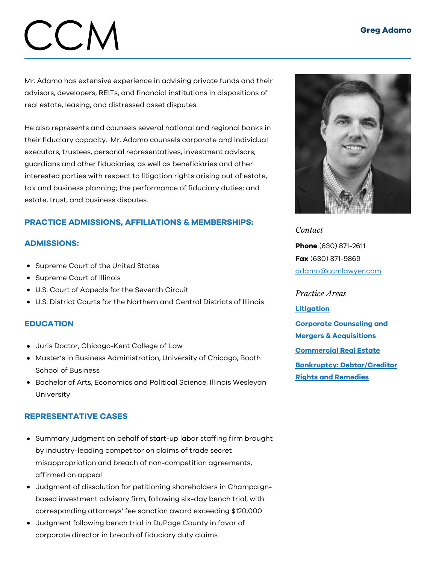# CCM

Mr. Adamo has extensive experience in advising private funds and their advisors, developers, REITs, and financial institutions in dispositions of real estate, leasing, and distressed asset disputes.

He also represents and counsels several national and regional banks in their fiduciary capacity. Mr. Adamo counsels corporate and individual executors, trustees, personal representatives, investment advisors, guardians and other fiduciaries, as well as beneficiaries and other interested parties with respect to litigation rights arising out of estate, tax and business planning; the performance of fiduciary duties; and estate, trust, and business disputes.

# PRACTICE ADMISSIONS, AFFILIATIONS & MEMBERSHIPS:

### ADMISSIONS:

- Supreme Court of the United States
- Supreme Court of Illinois
- U.S. Court of Appeals for the Seventh Circuit
- U.S. District Courts for the Northern and Central Districts of Illinois

### EDUCATION

- Juris Doctor, Chicago-Kent College of Law
- Master's in Business Administration, University of Chicago, Booth School of Business
- Bachelor of Arts, Economics and Political Science, Illinois Wesleyan University

### REPRESENTATIVE CASES

- Summary judgment on behalf of start-up labor staffing firm brought by industry-leading competitor on claims of trade secret misappropriation and breach of non-competition agreements, affirmed on appeal
- Judgment of dissolution for petitioning shareholders in Champaignbased investment advisory firm, following six-day bench trial, with corresponding attorneys' fee sanction award exceeding \$120,000
- Judgment following bench trial in DuPage County in favor of corporate director in breach of fiduciary duty claims



*Contact* Phone (630) 871-2611 Fax (630) 871-9869 [adamo@ccmlawyer.com](mailto:adamo@ccmlawyer.com)

*Practice Areas* **[Litigation](https://www.ccmlawyer.com/practice-areas/litigation/)** Corporate Counseling and Mergers & [Acquisitions](https://www.ccmlawyer.com/practice-areas/corporate-counseling-mergers-acquistions/) [Commercial](https://www.ccmlawyer.com/practice-areas/commercial-real-estate/) Real Estate Bankruptcy: [Debtor/Creditor](https://www.ccmlawyer.com/practice-areas/bankruptcy-debtor-and-creditor-rights-and-remedies/) Rights and Remedies